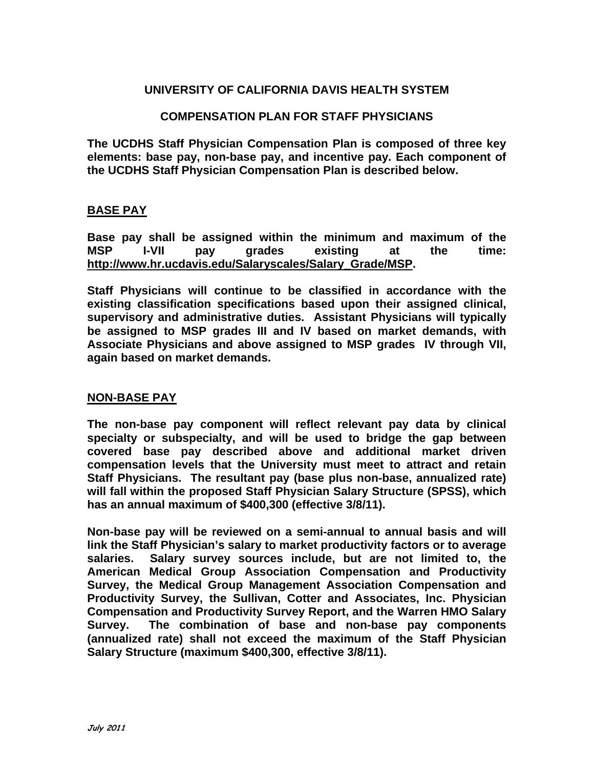# **UNIVERSITY OF CALIFORNIA DAVIS HEALTH SYSTEM**

## **COMPENSATION PLAN FOR STAFF PHYSICIANS**

**The UCDHS Staff Physician Compensation Plan is composed of three key elements: base pay, non-base pay, and incentive pay. Each component of the UCDHS Staff Physician Compensation Plan is described below.** 

## **BASE PAY**

**Base pay shall be assigned within the minimum and maximum of the MSP I-VII pay grades existing at the time: http://www.hr.ucdavis.edu/Salaryscales/Salary\_Grade/MSP.** 

**Staff Physicians will continue to be classified in accordance with the existing classification specifications based upon their assigned clinical, supervisory and administrative duties. Assistant Physicians will typically be assigned to MSP grades III and IV based on market demands, with Associate Physicians and above assigned to MSP grades IV through VII, again based on market demands.** 

#### **NON-BASE PAY**

**The non-base pay component will reflect relevant pay data by clinical specialty or subspecialty, and will be used to bridge the gap between covered base pay described above and additional market driven compensation levels that the University must meet to attract and retain Staff Physicians. The resultant pay (base plus non-base, annualized rate) will fall within the proposed Staff Physician Salary Structure (SPSS), which has an annual maximum of \$400,300 (effective 3/8/11).** 

**Non-base pay will be reviewed on a semi-annual to annual basis and will link the Staff Physician's salary to market productivity factors or to average salaries. Salary survey sources include, but are not limited to, the American Medical Group Association Compensation and Productivity Survey, the Medical Group Management Association Compensation and Productivity Survey, the Sullivan, Cotter and Associates, Inc. Physician Compensation and Productivity Survey Report, and the Warren HMO Salary Survey. The combination of base and non-base pay components (annualized rate) shall not exceed the maximum of the Staff Physician Salary Structure (maximum \$400,300, effective 3/8/11).**